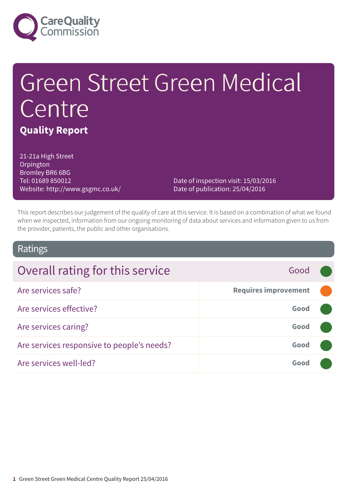

# Green Street Green Medical Centre **Quality Report**

21-21a High Street **Orpington** Bromley BR6 6BG Tel: 01689 850012 Website: http://www.gsgmc.co.uk/

Date of inspection visit: 15/03/2016 Date of publication: 25/04/2016

This report describes our judgement of the quality of care at this service. It is based on a combination of what we found when we inspected, information from our ongoing monitoring of data about services and information given to us from the provider, patients, the public and other organisations.

### Ratings

| Overall rating for this service            | Good                        |  |
|--------------------------------------------|-----------------------------|--|
| Are services safe?                         | <b>Requires improvement</b> |  |
| Are services effective?                    | Good                        |  |
| Are services caring?                       | Good                        |  |
| Are services responsive to people's needs? | Good                        |  |
| Are services well-led?                     | Gooc                        |  |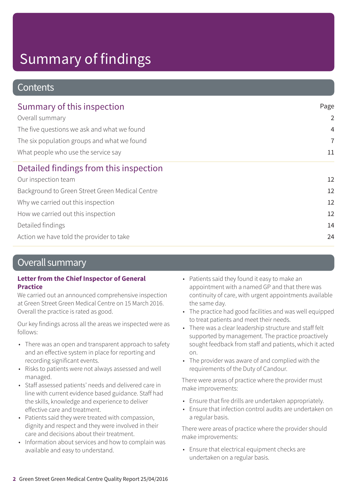### **Contents**

| Summary of this inspection                      | Page<br>$\overline{2}$<br>$\overline{4}$<br>$\overline{7}$<br>11 |
|-------------------------------------------------|------------------------------------------------------------------|
| Overall summary                                 |                                                                  |
| The five questions we ask and what we found     |                                                                  |
| The six population groups and what we found     |                                                                  |
| What people who use the service say             |                                                                  |
| Detailed findings from this inspection          |                                                                  |
| Our inspection team                             | 12                                                               |
| Background to Green Street Green Medical Centre | 12                                                               |
| Why we carried out this inspection              | 12                                                               |
| How we carried out this inspection              | 12                                                               |
| Detailed findings                               | 14                                                               |
| Action we have told the provider to take        | 24                                                               |

### Overall summary

#### **Letter from the Chief Inspector of General Practice**

We carried out an announced comprehensive inspection at Green Street Green Medical Centre on 15 March 2016. Overall the practice is rated as good.

Our key findings across all the areas we inspected were as follows:

- There was an open and transparent approach to safety and an effective system in place for reporting and recording significant events.
- Risks to patients were not always assessed and well managed.
- Staff assessed patients' needs and delivered care in line with current evidence based guidance. Staff had the skills, knowledge and experience to deliver effective care and treatment.
- Patients said they were treated with compassion, dignity and respect and they were involved in their care and decisions about their treatment.
- Information about services and how to complain was available and easy to understand.
- Patients said they found it easy to make an appointment with a named GP and that there was continuity of care, with urgent appointments available the same day.
- The practice had good facilities and was well equipped to treat patients and meet their needs.
- There was a clear leadership structure and staff felt supported by management. The practice proactively sought feedback from staff and patients, which it acted on.
- The provider was aware of and complied with the requirements of the Duty of Candour.

There were areas of practice where the provider must make improvements:

- Ensure that fire drills are undertaken appropriately.
- Ensure that infection control audits are undertaken on a regular basis.

There were areas of practice where the provider should make improvements:

• Ensure that electrical equipment checks are undertaken on a regular basis.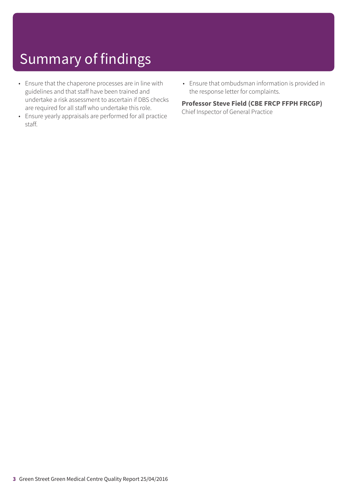- Ensure that the chaperone processes are in line with guidelines and that staff have been trained and undertake a risk assessment to ascertain if DBS checks are required for all staff who undertake this role.
- Ensure yearly appraisals are performed for all practice staff.
- Ensure that ombudsman information is provided in the response letter for complaints.

#### **Professor Steve Field (CBE FRCP FFPH FRCGP)**

Chief Inspector of General Practice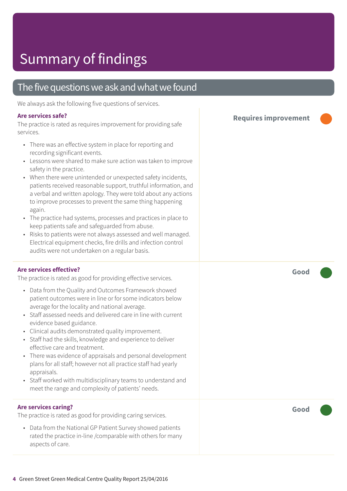### The five questions we ask and what we found

We always ask the following five questions of services.

#### **Are services safe?**

The practice is rated as requires improvement for providing safe services.

- There was an effective system in place for reporting and recording significant events.
- Lessons were shared to make sure action was taken to improve safety in the practice.
- When there were unintended or unexpected safety incidents, patients received reasonable support, truthful information, and a verbal and written apology. They were told about any actions to improve processes to prevent the same thing happening again.
- The practice had systems, processes and practices in place to keep patients safe and safeguarded from abuse.
- Risks to patients were not always assessed and well managed. Electrical equipment checks, fire drills and infection control audits were not undertaken on a regular basis.

#### **Are services effective?**

The practice is rated as good for providing effective services.

- Data from the Quality and Outcomes Framework showed patient outcomes were in line or for some indicators below average for the locality and national average.
- Staff assessed needs and delivered care in line with current evidence based guidance.
- Clinical audits demonstrated quality improvement.
- Staff had the skills, knowledge and experience to deliver effective care and treatment.
- There was evidence of appraisals and personal development plans for all staff; however not all practice staff had yearly appraisals.
- Staff worked with multidisciplinary teams to understand and meet the range and complexity of patients' needs.

#### **Are services caring?**

The practice is rated as good for providing caring services.

• Data from the National GP Patient Survey showed patients rated the practice in-line /comparable with others for many aspects of care.

**Requires improvement –––**

**Good –––**

**Good –––**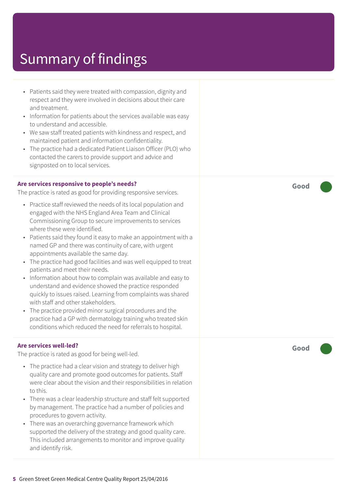- Patients said they were treated with compassion, dignity and respect and they were involved in decisions about their care and treatment. • Information for patients about the services available was easy to understand and accessible. • We saw staff treated patients with kindness and respect, and maintained patient and information confidentiality. • The practice had a dedicated Patient Liaison Officer (PLO) who contacted the carers to provide support and advice and signposted on to local services. **Are services responsive to people's needs?** The practice is rated as good for providing responsive services. • Practice staff reviewed the needs of its local population and engaged with the NHS England Area Team and Clinical Commissioning Group to secure improvements to services where these were identified. • Patients said they found it easy to make an appointment with a named GP and there was continuity of care, with urgent appointments available the same day. • The practice had good facilities and was well equipped to treat patients and meet their needs. • Information about how to complain was available and easy to understand and evidence showed the practice responded quickly to issues raised. Learning from complaints was shared with staff and other stakeholders.
	- The practice provided minor surgical procedures and the practice had a GP with dermatology training who treated skin conditions which reduced the need for referrals to hospital.

#### **Are services well-led?**

The practice is rated as good for being well-led.

- The practice had a clear vision and strategy to deliver high quality care and promote good outcomes for patients. Staff were clear about the vision and their responsibilities in relation to this.
- There was a clear leadership structure and staff felt supported by management. The practice had a number of policies and procedures to govern activity.
- There was an overarching governance framework which supported the delivery of the strategy and good quality care. This included arrangements to monitor and improve quality and identify risk.

**Good –––**

**Good –––**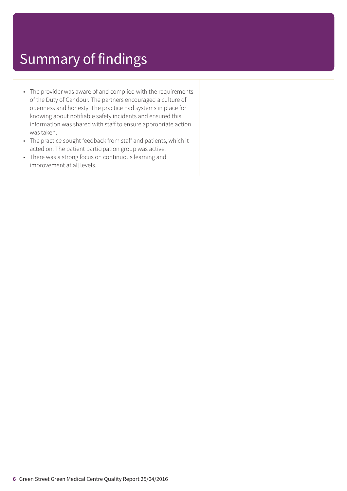- The provider was aware of and complied with the requirements of the Duty of Candour. The partners encouraged a culture of openness and honesty. The practice had systems in place for knowing about notifiable safety incidents and ensured this information was shared with staff to ensure appropriate action was taken.
- The practice sought feedback from staff and patients, which it acted on. The patient participation group was active.
- There was a strong focus on continuous learning and improvement at all levels.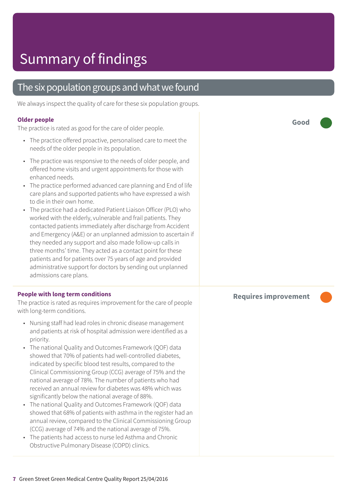### The six population groups and what we found

We always inspect the quality of care for these six population groups.

#### **Older people**

The practice is rated as good for the care of older people.

- The practice offered proactive, personalised care to meet the needs of the older people in its population.
- The practice was responsive to the needs of older people, and offered home visits and urgent appointments for those with enhanced needs.
- The practice performed advanced care planning and End of life care plans and supported patients who have expressed a wish to die in their own home.
- The practice had a dedicated Patient Liaison Officer (PLO) who worked with the elderly, vulnerable and frail patients. They contacted patients immediately after discharge from Accident and Emergency (A&E) or an unplanned admission to ascertain if they needed any support and also made follow-up calls in three months' time. They acted as a contact point for these patients and for patients over 75 years of age and provided administrative support for doctors by sending out unplanned admissions care plans.

#### **People with long term conditions**

The practice is rated as requires improvement for the care of people with long-term conditions.

- Nursing staff had lead roles in chronic disease management and patients at risk of hospital admission were identified as a priority.
- The national Quality and Outcomes Framework (QOF) data showed that 70% of patients had well-controlled diabetes, indicated by specific blood test results, compared to the Clinical Commissioning Group (CCG) average of 75% and the national average of 78%. The number of patients who had received an annual review for diabetes was 48% which was significantly below the national average of 88%.
- The national Quality and Outcomes Framework (QOF) data showed that 68% of patients with asthma in the register had an annual review, compared to the Clinical Commissioning Group (CCG) average of 74% and the national average of 75%.
- The patients had access to nurse led Asthma and Chronic Obstructive Pulmonary Disease (COPD) clinics.

**Good –––**

#### **Requires improvement –––**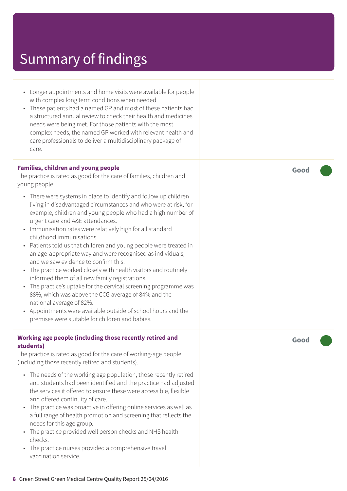- Longer appointments and home visits were available for people with complex long term conditions when needed.
- These patients had a named GP and most of these patients had a structured annual review to check their health and medicines needs were being met. For those patients with the most complex needs, the named GP worked with relevant health and care professionals to deliver a multidisciplinary package of care.

#### **Families, children and young people**

The practice is rated as good for the care of families, children and young people.

- There were systems in place to identify and follow up children living in disadvantaged circumstances and who were at risk, for example, children and young people who had a high number of urgent care and A&E attendances.
- Immunisation rates were relatively high for all standard childhood immunisations.
- Patients told us that children and young people were treated in an age-appropriate way and were recognised as individuals, and we saw evidence to confirm this.
- The practice worked closely with health visitors and routinely informed them of all new family registrations.
- The practice's uptake for the cervical screening programme was 88%, which was above the CCG average of 84% and the national average of 82%.
- Appointments were available outside of school hours and the premises were suitable for children and babies.

#### **Working age people (including those recently retired and students)**

The practice is rated as good for the care of working-age people (including those recently retired and students).

- The needs of the working age population, those recently retired and students had been identified and the practice had adjusted the services it offered to ensure these were accessible, flexible and offered continuity of care.
- The practice was proactive in offering online services as well as a full range of health promotion and screening that reflects the needs for this age group.
- The practice provided well person checks and NHS health checks.
- The practice nurses provided a comprehensive travel vaccination service.

**Good –––**

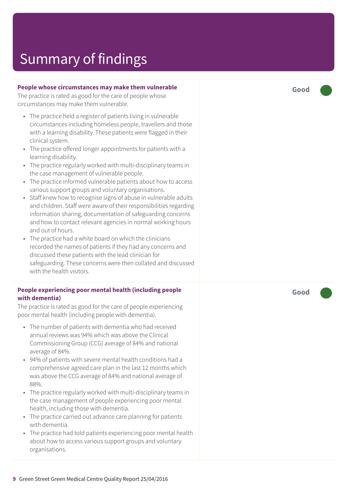#### **People whose circumstances may make them vulnerable**

The practice is rated as good for the care of people whose circumstances may make them vulnerable.

- The practice held a register of patients living in vulnerable circumstances including homeless people, travellers and those with a learning disability. These patients were flagged in their clinical system.
- The practice offered longer appointments for patients with a learning disability.
- The practice regularly worked with multi-disciplinary teams in the case management of vulnerable people.
- The practice informed vulnerable patients about how to access various support groups and voluntary organisations.
- Staff knew how to recognise signs of abuse in vulnerable adults and children. Staff were aware of their responsibilities regarding information sharing, documentation of safeguarding concerns and how to contact relevant agencies in normal working hours and out of hours.
- The practice had a white board on which the clinicians recorded the names of patients if they had any concerns and discussed these patients with the lead clinician for safeguarding. These concerns were then collated and discussed with the health visitors.

#### **People experiencing poor mental health (including people with dementia)**

The practice is rated as good for the care of people experiencing poor mental health (including people with dementia).

- The number of patients with dementia who had received annual reviews was 94% which was above the Clinical Commissioning Group (CCG) average of 84% and national average of 84%.
- 94% of patients with severe mental health conditions had a comprehensive agreed care plan in the last 12 months which was above the CCG average of 84% and national average of 88%.
- The practice regularly worked with multi-disciplinary teams in the case management of people experiencing poor mental health, including those with dementia.
- The practice carried out advance care planning for patients with dementia.
- The practice had told patients experiencing poor mental health about how to access various support groups and voluntary organisations.

**Good –––**

**Good –––**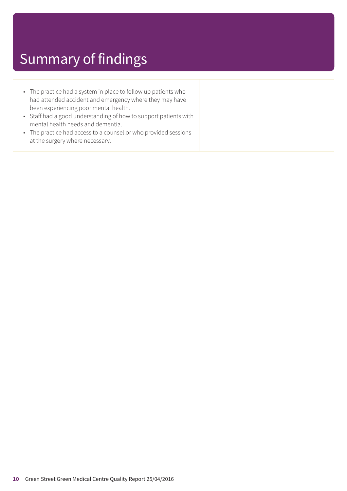- The practice had a system in place to follow up patients who had attended accident and emergency where they may have been experiencing poor mental health.
- Staff had a good understanding of how to support patients with mental health needs and dementia.
- The practice had access to a counsellor who provided sessions at the surgery where necessary.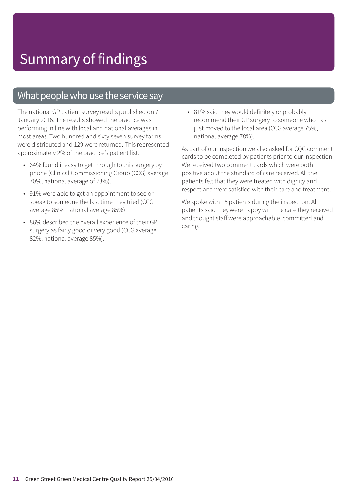### What people who use the service say

The national GP patient survey results published on 7 January 2016. The results showed the practice was performing in line with local and national averages in most areas. Two hundred and sixty seven survey forms were distributed and 129 were returned. This represented approximately 2% of the practice's patient list.

- 64% found it easy to get through to this surgery by phone (Clinical Commissioning Group (CCG) average 70%, national average of 73%).
- 91% were able to get an appointment to see or speak to someone the last time they tried (CCG average 85%, national average 85%).
- 86% described the overall experience of their GP surgery as fairly good or very good (CCG average 82%, national average 85%).

• 81% said they would definitely or probably recommend their GP surgery to someone who has just moved to the local area (CCG average 75%, national average 78%).

As part of our inspection we also asked for CQC comment cards to be completed by patients prior to our inspection. We received two comment cards which were both positive about the standard of care received. All the patients felt that they were treated with dignity and respect and were satisfied with their care and treatment.

We spoke with 15 patients during the inspection. All patients said they were happy with the care they received and thought staff were approachable, committed and caring.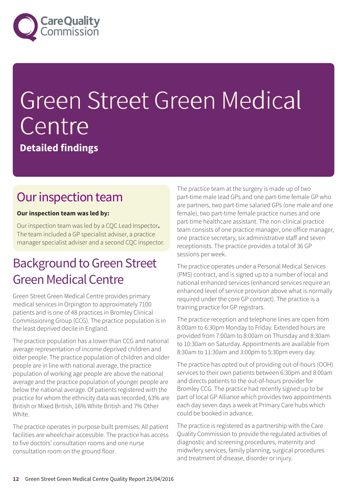

# Green Street Green Medical Centre

**Detailed findings**

### Our inspection team

#### **Our inspection team was led by:**

Our inspection team was led by a CQC Lead Inspector**.** The team included a GP specialist adviser, a practice manager specialist adviser and a second CQC inspector.

### **Background to Green Street Green Medical Centre**

Green Street Green Medical Centre provides primary medical services in Orpington to approximately 7100 patients and is one of 48 practices in Bromley Clinical Commissioning Group (CCG). The practice population is in the least deprived decile in England.

The practice population has a lower than CCG and national average representation of income deprived children and older people. The practice population of children and older people are in line with national average, the practice population of working age people are above the national average and the practice population of younger people are below the national average. Of patients registered with the practice for whom the ethnicity data was recorded, 63% are British or Mixed British, 16% White British and 7% Other White.

The practice operates in purpose built premises. All patient facilities are wheelchair accessible. The practice has access to five doctors' consultation rooms and one nurse consultation room on the ground floor.

The practice team at the surgery is made up of two part-time male lead GPs and one part-time female GP who are partners, two part-time salaried GPs (one male and one female), two part-time female practice nurses and one part-time healthcare assistant. The non-clinical practice team consists of one practice manager, one office manager, one practice secretary, six administrative staff and seven receptionists. The practice provides a total of 36 GP sessions per week.

The practice operates under a Personal Medical Services (PMS) contract, and is signed up to a number of local and national enhanced services (enhanced services require an enhanced level of service provision above what is normally required under the core GP contract). The practice is a training practice for GP registrars.

The practice reception and telephone lines are open from 8:00am to 6:30pm Monday to Friday. Extended hours are provided from 7:00am to 8:00am on Thursday and 8:30am to 10:30am on Saturday. Appointments are available from 8:30am to 11:30am and 3:00pm to 5:30pm every day.

The practice has opted out of providing out-of-hours (OOH) services to their own patients between 6:30pm and 8:00am and directs patients to the out-of-hours provider for Bromley CCG. The practice had recently signed up to be part of local GP Alliance which provides two appointments each day seven days a week at Primary Care hubs which could be booked in advance.

The practice is registered as a partnership with the Care Quality Commission to provide the regulated activities of diagnostic and screening procedures, maternity and midwifery services, family planning, surgical procedures and treatment of disease, disorder or injury.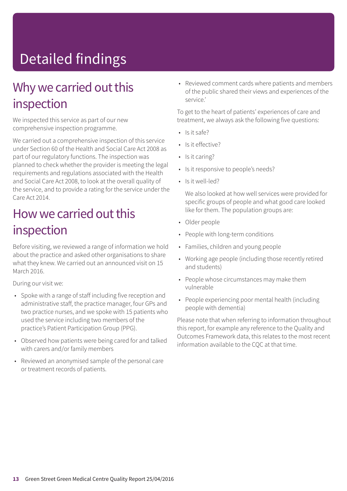# Detailed findings

### Why we carried out this inspection

We inspected this service as part of our new comprehensive inspection programme.

We carried out a comprehensive inspection of this service under Section 60 of the Health and Social Care Act 2008 as part of our regulatory functions. The inspection was planned to check whether the provider is meeting the legal requirements and regulations associated with the Health and Social Care Act 2008, to look at the overall quality of the service, and to provide a rating for the service under the Care Act 2014.

### How we carried out this inspection

Before visiting, we reviewed a range of information we hold about the practice and asked other organisations to share what they knew. We carried out an announced visit on 15 March 2016.

During our visit we:

- Spoke with a range of staff including five reception and administrative staff, the practice manager, four GPs and two practice nurses, and we spoke with 15 patients who used the service including two members of the practice's Patient Participation Group (PPG).
- Observed how patients were being cared for and talked with carers and/or family members
- Reviewed an anonymised sample of the personal care or treatment records of patients.

• Reviewed comment cards where patients and members of the public shared their views and experiences of the service.'

To get to the heart of patients' experiences of care and treatment, we always ask the following five questions:

- Is it safe?
- Is it effective?
- Is it caring?
- Is it responsive to people's needs?
- Is it well-led?

We also looked at how well services were provided for specific groups of people and what good care looked like for them. The population groups are:

- Older people
- People with long-term conditions
- Families, children and young people
- Working age people (including those recently retired and students)
- People whose circumstances may make them vulnerable
- People experiencing poor mental health (including people with dementia)

Please note that when referring to information throughout this report, for example any reference to the Quality and Outcomes Framework data, this relates to the most recent information available to the CQC at that time.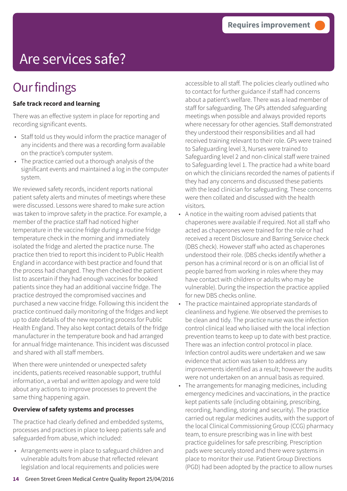## Are services safe?

### **Our findings**

#### **Safe track record and learning**

There was an effective system in place for reporting and recording significant events.

- Staff told us they would inform the practice manager of any incidents and there was a recording form available on the practice's computer system.
- The practice carried out a thorough analysis of the significant events and maintained a log in the computer system.

We reviewed safety records, incident reports national patient safety alerts and minutes of meetings where these were discussed. Lessons were shared to make sure action was taken to improve safety in the practice. For example, a member of the practice staff had noticed higher temperature in the vaccine fridge during a routine fridge temperature check in the morning and immediately isolated the fridge and alerted the practice nurse. The practice then tried to report this incident to Public Health England in accordance with best practice and found that the process had changed. They then checked the patient list to ascertain if they had enough vaccines for booked patients since they had an additional vaccine fridge. The practice destroyed the compromised vaccines and purchased a new vaccine fridge. Following this incident the practice continued daily monitoring of the fridges and kept up to date details of the new reporting process for Public Health England. They also kept contact details of the fridge manufacturer in the temperature book and had arranged for annual fridge maintenance. This incident was discussed and shared with all staff members.

When there were unintended or unexpected safety incidents, patients received reasonable support, truthful information, a verbal and written apology and were told about any actions to improve processes to prevent the same thing happening again.

#### **Overview of safety systems and processes**

The practice had clearly defined and embedded systems, processes and practices in place to keep patients safe and safeguarded from abuse, which included:

• Arrangements were in place to safeguard children and vulnerable adults from abuse that reflected relevant legislation and local requirements and policies were

accessible to all staff. The policies clearly outlined who to contact for further guidance if staff had concerns about a patient's welfare. There was a lead member of staff for safeguarding. The GPs attended safeguarding meetings when possible and always provided reports where necessary for other agencies. Staff demonstrated they understood their responsibilities and all had received training relevant to their role. GPs were trained to Safeguarding level 3, Nurses were trained to Safeguarding level 2 and non-clinical staff were trained to Safeguarding level 1. The practice had a white board on which the clinicians recorded the names of patients if they had any concerns and discussed these patients with the lead clinician for safeguarding. These concerns were then collated and discussed with the health visitors.

- A notice in the waiting room advised patients that chaperones were available if required. Not all staff who acted as chaperones were trained for the role or had received a recent Disclosure and Barring Service check (DBS check). However staff who acted as chaperones understood their role. (DBS checks identify whether a person has a criminal record or is on an official list of people barred from working in roles where they may have contact with children or adults who may be vulnerable). During the inspection the practice applied for new DBS checks online.
- The practice maintained appropriate standards of cleanliness and hygiene. We observed the premises to be clean and tidy. The practice nurse was the infection control clinical lead who liaised with the local infection prevention teams to keep up to date with best practice. There was an infection control protocol in place. Infection control audits were undertaken and we saw evidence that action was taken to address any improvements identified as a result; however the audits were not undertaken on an annual basis as required.
- The arrangements for managing medicines, including emergency medicines and vaccinations, in the practice kept patients safe (including obtaining, prescribing, recording, handling, storing and security). The practice carried out regular medicines audits, with the support of the local Clinical Commissioning Group (CCG) pharmacy team, to ensure prescribing was in line with best practice guidelines for safe prescribing. Prescription pads were securely stored and there were systems in place to monitor their use. Patient Group Directions (PGD) had been adopted by the practice to allow nurses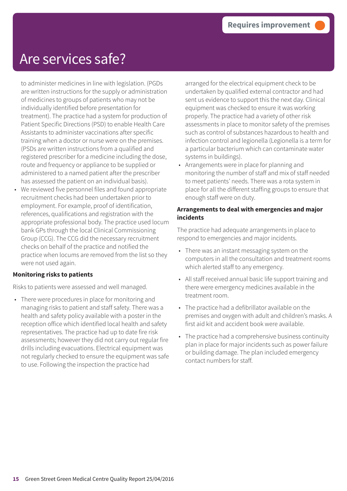### Are services safe?

to administer medicines in line with legislation. (PGDs are written instructions for the supply or administration of medicines to groups of patients who may not be individually identified before presentation for treatment). The practice had a system for production of Patient Specific Directions (PSD) to enable Health Care Assistants to administer vaccinations after specific training when a doctor or nurse were on the premises. (PSDs are written instructions from a qualified and registered prescriber for a medicine including the dose, route and frequency or appliance to be supplied or administered to a named patient after the prescriber has assessed the patient on an individual basis).

• We reviewed five personnel files and found appropriate recruitment checks had been undertaken prior to employment. For example, proof of identification, references, qualifications and registration with the appropriate professional body. The practice used locum bank GPs through the local Clinical Commissioning Group (CCG). The CCG did the necessary recruitment checks on behalf of the practice and notified the practice when locums are removed from the list so they were not used again.

#### **Monitoring risks to patients**

Risks to patients were assessed and well managed.

• There were procedures in place for monitoring and managing risks to patient and staff safety. There was a health and safety policy available with a poster in the reception office which identified local health and safety representatives. The practice had up to date fire risk assessments; however they did not carry out regular fire drills including evacuations. Electrical equipment was not regularly checked to ensure the equipment was safe to use. Following the inspection the practice had

arranged for the electrical equipment check to be undertaken by qualified external contractor and had sent us evidence to support this the next day. Clinical equipment was checked to ensure it was working properly. The practice had a variety of other risk assessments in place to monitor safety of the premises such as control of substances hazardous to health and infection control and legionella (Legionella is a term for a particular bacterium which can contaminate water systems in buildings).

• Arrangements were in place for planning and monitoring the number of staff and mix of staff needed to meet patients' needs. There was a rota system in place for all the different staffing groups to ensure that enough staff were on duty.

#### **Arrangements to deal with emergencies and major incidents**

The practice had adequate arrangements in place to respond to emergencies and major incidents.

- There was an instant messaging system on the computers in all the consultation and treatment rooms which alerted staff to any emergency.
- All staff received annual basic life support training and there were emergency medicines available in the treatment room.
- The practice had a defibrillator available on the premises and oxygen with adult and children's masks. A first aid kit and accident book were available.
- The practice had a comprehensive business continuity plan in place for major incidents such as power failure or building damage. The plan included emergency contact numbers for staff.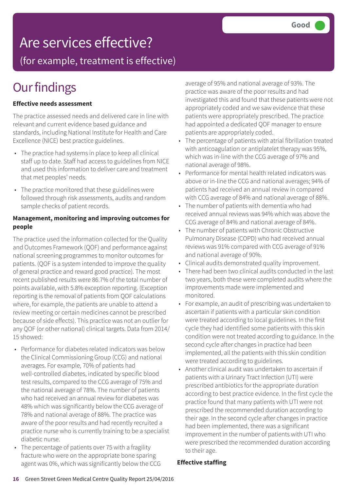### Are services effective?

(for example, treatment is effective)

### **Our findings**

#### **Effective needs assessment**

The practice assessed needs and delivered care in line with relevant and current evidence based guidance and standards, including National Institute for Health and Care Excellence (NICE) best practice guidelines.

- The practice had systems in place to keep all clinical staff up to date. Staff had access to guidelines from NICE and used this information to deliver care and treatment that met peoples' needs.
- The practice monitored that these guidelines were followed through risk assessments, audits and random sample checks of patient records.

#### **Management, monitoring and improving outcomes for people**

The practice used the information collected for the Quality and Outcomes Framework (QOF) and performance against national screening programmes to monitor outcomes for patients. (QOF is a system intended to improve the quality of general practice and reward good practice). The most recent published results were 86.7% of the total number of points available, with 5.8% exception reporting. (Exception reporting is the removal of patients from QOF calculations where, for example, the patients are unable to attend a review meeting or certain medicines cannot be prescribed because of side effects). This practice was not an outlier for any QOF (or other national) clinical targets. Data from 2014/ 15 showed:

- Performance for diabetes related indicators was below the Clinical Commissioning Group (CCG) and national averages. For example, 70% of patients had well-controlled diabetes, indicated by specific blood test results, compared to the CCG average of 75% and the national average of 78%. The number of patients who had received an annual review for diabetes was 48% which was significantly below the CCG average of 78% and national average of 88%. The practice was aware of the poor results and had recently recruited a practice nurse who is currently training to be a specialist diabetic nurse.
- The percentage of patients over 75 with a fragility fracture who were on the appropriate bone sparing agent was 0%, which was significantly below the CCG

average of 95% and national average of 93%. The practice was aware of the poor results and had investigated this and found that these patients were not appropriately coded and we saw evidence that these patients were appropriately prescribed. The practice had appointed a dedicated QOF manager to ensure patients are appropriately coded.

- The percentage of patients with atrial fibrillation treated with anticoagulation or antiplatelet therapy was 95%, which was in-line with the CCG average of 97% and national average of 98%.
- Performance for mental health related indicators was above or in-line the CCG and national averages; 94% of patients had received an annual review in compared with CCG average of 84% and national average of 88%.
- The number of patients with dementia who had received annual reviews was 94% which was above the CCG average of 84% and national average of 84%.
- The number of patients with Chronic Obstructive Pulmonary Disease (COPD) who had received annual reviews was 91% compared with CCG average of 91% and national average of 90%.
- Clinical audits demonstrated quality improvement.
- There had been two clinical audits conducted in the last two years, both these were completed audits where the improvements made were implemented and monitored.
- For example, an audit of prescribing was undertaken to ascertain if patients with a particular skin condition were treated according to local guidelines. In the first cycle they had identified some patients with this skin condition were not treated according to guidance. In the second cycle after changes in practice had been implemented, all the patients with this skin condition were treated according to guidelines.
- Another clinical audit was undertaken to ascertain if patients with a Urinary Tract Infection (UTI) were prescribed antibiotics for the appropriate duration according to best practice evidence. In the first cycle the practice found that many patients with UTI were not prescribed the recommended duration according to their age. In the second cycle after changes in practice had been implemented, there was a significant improvement in the number of patients with UTI who were prescribed the recommended duration according to their age.

#### **Effective staffing**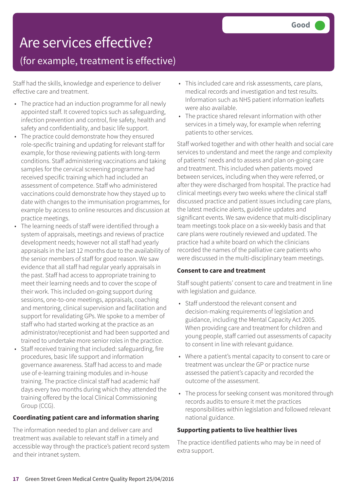# Are services effective?

### (for example, treatment is effective)

Staff had the skills, knowledge and experience to deliver effective care and treatment.

- The practice had an induction programme for all newly appointed staff. It covered topics such as safeguarding, infection prevention and control, fire safety, health and safety and confidentiality, and basic life support.
- The practice could demonstrate how they ensured role-specific training and updating for relevant staff for example, for those reviewing patients with long-term conditions. Staff administering vaccinations and taking samples for the cervical screening programme had received specific training which had included an assessment of competence. Staff who administered vaccinations could demonstrate how they stayed up to date with changes to the immunisation programmes, for example by access to online resources and discussion at practice meetings.
- The learning needs of staff were identified through a system of appraisals, meetings and reviews of practice development needs; however not all staff had yearly appraisals in the last 12 months due to the availability of the senior members of staff for good reason. We saw evidence that all staff had regular yearly appraisals in the past. Staff had access to appropriate training to meet their learning needs and to cover the scope of their work. This included on-going support during sessions, one-to-one meetings, appraisals, coaching and mentoring, clinical supervision and facilitation and support for revalidating GPs. We spoke to a member of staff who had started working at the practice as an administrator/receptionist and had been supported and trained to undertake more senior roles in the practice. • Staff received training that included: safeguarding, fire
- procedures, basic life support and information governance awareness. Staff had access to and made use of e-learning training modules and in-house training. The practice clinical staff had academic half days every two months during which they attended the training offered by the local Clinical Commissioning Group (CCG).

#### **Coordinating patient care and information sharing**

The information needed to plan and deliver care and treatment was available to relevant staff in a timely and accessible way through the practice's patient record system and their intranet system.

- This included care and risk assessments, care plans, medical records and investigation and test results. Information such as NHS patient information leaflets were also available.
- The practice shared relevant information with other services in a timely way, for example when referring patients to other services.

Staff worked together and with other health and social care services to understand and meet the range and complexity of patients' needs and to assess and plan on-going care and treatment. This included when patients moved between services, including when they were referred, or after they were discharged from hospital. The practice had clinical meetings every two weeks where the clinical staff discussed practice and patient issues including care plans, the latest medicine alerts, guideline updates and significant events. We saw evidence that multi-disciplinary team meetings took place on a six-weekly basis and that care plans were routinely reviewed and updated. The practice had a white board on which the clinicians recorded the names of the palliative care patients who were discussed in the multi-disciplinary team meetings.

#### **Consent to care and treatment**

Staff sought patients' consent to care and treatment in line with legislation and guidance.

- Staff understood the relevant consent and decision-making requirements of legislation and guidance, including the Mental Capacity Act 2005. When providing care and treatment for children and young people, staff carried out assessments of capacity to consent in line with relevant guidance.
- Where a patient's mental capacity to consent to care or treatment was unclear the GP or practice nurse assessed the patient's capacity and recorded the outcome of the assessment.
- The process for seeking consent was monitored through records audits to ensure it met the practices responsibilities within legislation and followed relevant national guidance.

#### **Supporting patients to live healthier lives**

The practice identified patients who may be in need of extra support.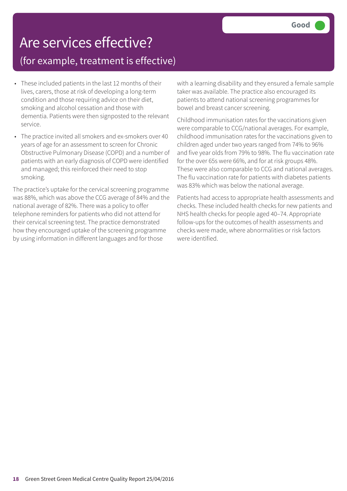# Are services effective?

### (for example, treatment is effective)

- These included patients in the last 12 months of their lives, carers, those at risk of developing a long-term condition and those requiring advice on their diet, smoking and alcohol cessation and those with dementia. Patients were then signposted to the relevant service.
- The practice invited all smokers and ex-smokers over 40 years of age for an assessment to screen for Chronic Obstructive Pulmonary Disease (COPD) and a number of patients with an early diagnosis of COPD were identified and managed; this reinforced their need to stop smoking.

The practice's uptake for the cervical screening programme was 88%, which was above the CCG average of 84% and the national average of 82%. There was a policy to offer telephone reminders for patients who did not attend for their cervical screening test. The practice demonstrated how they encouraged uptake of the screening programme by using information in different languages and for those

with a learning disability and they ensured a female sample taker was available. The practice also encouraged its patients to attend national screening programmes for bowel and breast cancer screening.

Childhood immunisation rates for the vaccinations given were comparable to CCG/national averages. For example, childhood immunisation rates for the vaccinations given to children aged under two years ranged from 74% to 96% and five year olds from 79% to 98%. The flu vaccination rate for the over 65s were 66%, and for at risk groups 48%. These were also comparable to CCG and national averages. The flu vaccination rate for patients with diabetes patients was 83% which was below the national average.

Patients had access to appropriate health assessments and checks. These included health checks for new patients and NHS health checks for people aged 40–74. Appropriate follow-ups for the outcomes of health assessments and checks were made, where abnormalities or risk factors were identified.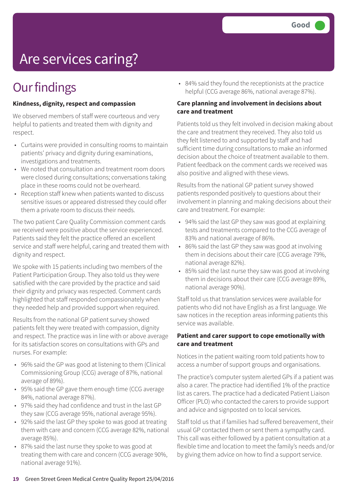# Are services caring?

### **Our findings**

#### **Kindness, dignity, respect and compassion**

We observed members of staff were courteous and very helpful to patients and treated them with dignity and respect.

- Curtains were provided in consulting rooms to maintain patients' privacy and dignity during examinations, investigations and treatments.
- We noted that consultation and treatment room doors were closed during consultations; conversations taking place in these rooms could not be overheard.
- Reception staff knew when patients wanted to discuss sensitive issues or appeared distressed they could offer them a private room to discuss their needs.

The two patient Care Quality Commission comment cards we received were positive about the service experienced. Patients said they felt the practice offered an excellent service and staff were helpful, caring and treated them with dignity and respect.

We spoke with 15 patients including two members of the Patient Participation Group. They also told us they were satisfied with the care provided by the practice and said their dignity and privacy was respected. Comment cards highlighted that staff responded compassionately when they needed help and provided support when required.

Results from the national GP patient survey showed patients felt they were treated with compassion, dignity and respect. The practice was in line with or above average for its satisfaction scores on consultations with GPs and nurses. For example:

- 96% said the GP was good at listening to them (Clinical Commissioning Group (CCG) average of 87%, national average of 89%).
- 95% said the GP gave them enough time (CCG average 84%, national average 87%).
- 97% said they had confidence and trust in the last GP they saw (CCG average 95%, national average 95%).
- 92% said the last GP they spoke to was good at treating them with care and concern (CCG average 82%, national average 85%).
- 87% said the last nurse they spoke to was good at treating them with care and concern (CCG average 90%, national average 91%).

• 84% said they found the receptionists at the practice helpful (CCG average 86%, national average 87%).

#### **Care planning and involvement in decisions about care and treatment**

Patients told us they felt involved in decision making about the care and treatment they received. They also told us they felt listened to and supported by staff and had sufficient time during consultations to make an informed decision about the choice of treatment available to them. Patient feedback on the comment cards we received was also positive and aligned with these views.

Results from the national GP patient survey showed patients responded positively to questions about their involvement in planning and making decisions about their care and treatment. For example:

- 94% said the last GP they saw was good at explaining tests and treatments compared to the CCG average of 83% and national average of 86%.
- 86% said the last GP they saw was good at involving them in decisions about their care (CCG average 79%, national average 82%).
- 85% said the last nurse they saw was good at involving them in decisions about their care (CCG average 89%, national average 90%).

Staff told us that translation services were available for patients who did not have English as a first language. We saw notices in the reception areas informing patients this service was available.

#### **Patient and carer support to cope emotionally with care and treatment**

Notices in the patient waiting room told patients how to access a number of support groups and organisations.

The practice's computer system alerted GPs if a patient was also a carer. The practice had identified 1% of the practice list as carers. The practice had a dedicated Patient Liaison Officer (PLO) who contacted the carers to provide support and advice and signposted on to local services.

Staff told us that if families had suffered bereavement, their usual GP contacted them or sent them a sympathy card. This call was either followed by a patient consultation at a flexible time and location to meet the family's needs and/or by giving them advice on how to find a support service.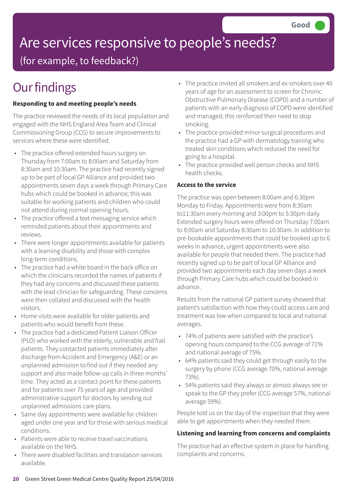# Are services responsive to people's needs?

(for example, to feedback?)

## **Our findings**

#### **Responding to and meeting people's needs**

The practice reviewed the needs of its local population and engaged with the NHS England Area Team and Clinical Commissioning Group (CCG) to secure improvements to services where these were identified.

- The practice offered extended hours surgery on Thursday from 7:00am to 8:00am and Saturday from 8:30am and 10:30am. The practice had recently signed up to be part of local GP Alliance and provided two appointments seven days a week through Primary Care hubs which could be booked in advance; this was suitable for working patients and children who could not attend during normal opening hours.
- The practice offered a text messaging service which reminded patients about their appointments and reviews.
- There were longer appointments available for patients with a learning disability and those with complex long-term conditions.
- The practice had a white board in the back office on which the clinicians recorded the names of patients if they had any concerns and discussed these patients with the lead clinician for safeguarding. These concerns were then collated and discussed with the health visitors.
- Home visits were available for older patients and patients who would benefit from these.
- The practice had a dedicated Patient Liaison Officer (PLO) who worked with the elderly, vulnerable and frail patients. They contacted patients immediately after discharge from Accident and Emergency (A&E) or an unplanned admission to find out if they needed any support and also made follow-up calls in three months' time. They acted as a contact point for these patients and for patients over 75 years of age and provided administrative support for doctors by sending out unplanned admissions care plans.
- Same day appointments were available for children aged under one year and for those with serious medical conditions.
- Patients were able to receive travel vaccinations available on the NHS.
- There were disabled facilities and translation services available.
- The practice invited all smokers and ex-smokers over 40 years of age for an assessment to screen for Chronic Obstructive Pulmonary Disease (COPD) and a number of patients with an early diagnosis of COPD were identified and managed; this reinforced their need to stop smoking.
- The practice provided minor surgical procedures and the practice had a GP with dermatology training who treated skin conditions which reduced the need for going to a hospital.
- The practice provided well person checks and NHS health checks.

#### **Access to the service**

The practice was open between 8:00am and 6:30pm Monday to Friday. Appointments were from 8:30am to11:30am every morning and 3:00pm to 5:30pm daily. Extended surgery hours were offered on Thursday 7:00am to 8:00am and Saturday 8:30am to 10:30am. In addition to pre-bookable appointments that could be booked up to 6 weeks in advance, urgent appointments were also available for people that needed them. The practice had recently signed up to be part of local GP Alliance and provided two appointments each day seven days a week through Primary Care hubs which could be booked in advance.

Results from the national GP patient survey showed that patient's satisfaction with how they could access care and treatment was low when compared to local and national averages.

- 74% of patients were satisfied with the practice's opening hours compared to the CCG average of 71% and national average of 75%.
- 64% patients said they could get through easily to the surgery by phone (CCG average 70%, national average 73%).
- 54% patients said they always or almost always see or speak to the GP they prefer (CCG average 57%, national average 59%).

People told us on the day of the inspection that they were able to get appointments when they needed them.

#### **Listening and learning from concerns and complaints**

The practice had an effective system in place for handling complaints and concerns.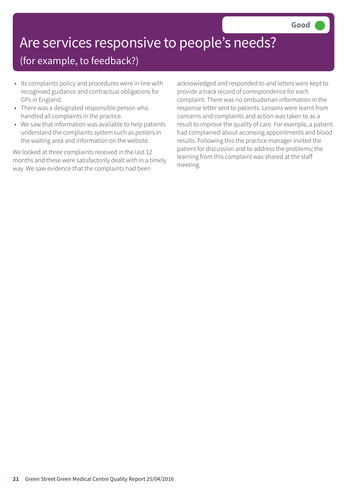## Are services responsive to people's needs?

### (for example, to feedback?)

- Its complaints policy and procedures were in line with recognised guidance and contractual obligations for GPs in England.
- There was a designated responsible person who handled all complaints in the practice.
- We saw that information was available to help patients understand the complaints system such as posters in the waiting area and information on the website.

We looked at three complaints received in the last 12 months and these were satisfactorily dealt with in a timely way. We saw evidence that the complaints had been

acknowledged and responded to and letters were kept to provide a track record of correspondence for each complaint. There was no ombudsman information in the response letter sent to patients. Lessons were learnt from concerns and complaints and action was taken to as a result to improve the quality of care. For example, a patient had complained about accessing appointments and blood results. Following this the practice manager invited the patient for discussion and to address the problems; the learning from this complaint was shared at the staff meeting.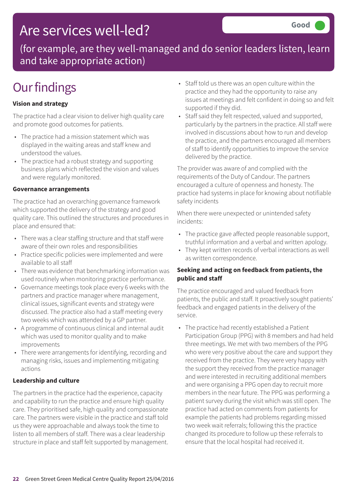### Are services well-led?

(for example, are they well-managed and do senior leaders listen, learn and take appropriate action)

### **Our findings**

#### **Vision and strategy**

The practice had a clear vision to deliver high quality care and promote good outcomes for patients.

- The practice had a mission statement which was displayed in the waiting areas and staff knew and understood the values.
- The practice had a robust strategy and supporting business plans which reflected the vision and values and were regularly monitored.

#### **Governance arrangements**

The practice had an overarching governance framework which supported the delivery of the strategy and good quality care. This outlined the structures and procedures in place and ensured that:

- There was a clear staffing structure and that staff were aware of their own roles and responsibilities
- Practice specific policies were implemented and were available to all staff
- There was evidence that benchmarking information was used routinely when monitoring practice performance.
- Governance meetings took place every 6 weeks with the partners and practice manager where management, clinical issues, significant events and strategy were discussed. The practice also had a staff meeting every two weeks which was attended by a GP partner.
- A programme of continuous clinical and internal audit which was used to monitor quality and to make improvements
- There were arrangements for identifying, recording and managing risks, issues and implementing mitigating actions

#### **Leadership and culture**

The partners in the practice had the experience, capacity and capability to run the practice and ensure high quality care. They prioritised safe, high quality and compassionate care. The partners were visible in the practice and staff told us they were approachable and always took the time to listen to all members of staff. There was a clear leadership structure in place and staff felt supported by management.

- Staff told us there was an open culture within the practice and they had the opportunity to raise any issues at meetings and felt confident in doing so and felt supported if they did.
- Staff said they felt respected, valued and supported, particularly by the partners in the practice. All staff were involved in discussions about how to run and develop the practice, and the partners encouraged all members of staff to identify opportunities to improve the service delivered by the practice.

The provider was aware of and complied with the requirements of the Duty of Candour. The partners encouraged a culture of openness and honesty. The practice had systems in place for knowing about notifiable safety incidents

When there were unexpected or unintended safety incidents:

- The practice gave affected people reasonable support, truthful information and a verbal and written apology.
- They kept written records of verbal interactions as well as written correspondence.

#### **Seeking and acting on feedback from patients, the public and staff**

The practice encouraged and valued feedback from patients, the public and staff. It proactively sought patients' feedback and engaged patients in the delivery of the service.

• The practice had recently established a Patient Participation Group (PPG) with 8 members and had held three meetings. We met with two members of the PPG who were very positive about the care and support they received from the practice. They were very happy with the support they received from the practice manager and were interested in recruiting additional members and were organising a PPG open day to recruit more members in the near future. The PPG was performing a patient survey during the visit which was still open. The practice had acted on comments from patients for example the patients had problems regarding missed two week wait referrals; following this the practice changed its procedure to follow up these referrals to ensure that the local hospital had received it.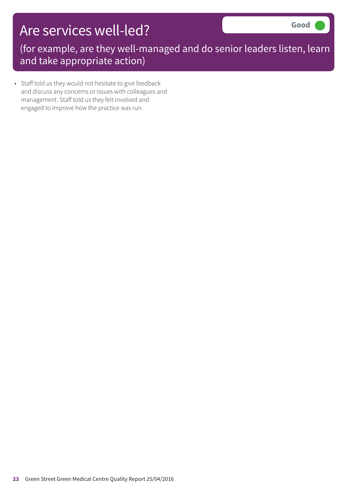### Are services well-led?

(for example, are they well-managed and do senior leaders listen, learn and take appropriate action)

• Staff told us they would not hesitate to give feedback and discuss any concerns or issues with colleagues and management. Staff told us they felt involved and engaged to improve how the practice was run.